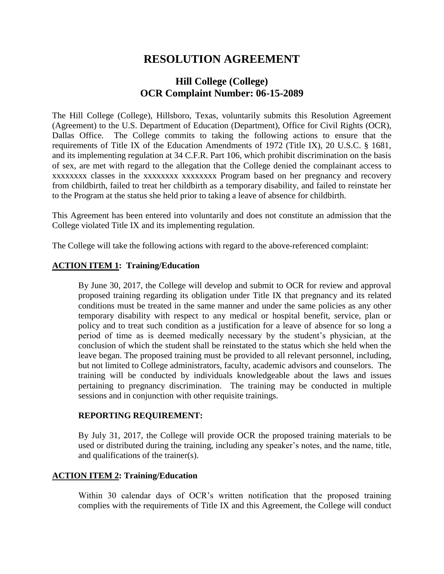# **RESOLUTION AGREEMENT**

## **Hill College (College) OCR Complaint Number: 06-15-2089**

The Hill College (College), Hillsboro, Texas, voluntarily submits this Resolution Agreement (Agreement) to the U.S. Department of Education (Department), Office for Civil Rights (OCR), Dallas Office. The College commits to taking the following actions to ensure that the requirements of Title IX of the Education Amendments of 1972 (Title IX), 20 U.S.C. § 1681, and its implementing regulation at 34 C.F.R. Part 106, which prohibit discrimination on the basis of sex, are met with regard to the allegation that the College denied the complainant access to xxxxxxxx classes in the xxxxxxxx xxxxxxxx Program based on her pregnancy and recovery from childbirth, failed to treat her childbirth as a temporary disability, and failed to reinstate her to the Program at the status she held prior to taking a leave of absence for childbirth.

This Agreement has been entered into voluntarily and does not constitute an admission that the College violated Title IX and its implementing regulation.

The College will take the following actions with regard to the above-referenced complaint:

## **ACTION ITEM 1: Training/Education**

By June 30, 2017, the College will develop and submit to OCR for review and approval proposed training regarding its obligation under Title IX that pregnancy and its related conditions must be treated in the same manner and under the same policies as any other temporary disability with respect to any medical or hospital benefit, service, plan or policy and to treat such condition as a justification for a leave of absence for so long a period of time as is deemed medically necessary by the student's physician, at the conclusion of which the student shall be reinstated to the status which she held when the leave began. The proposed training must be provided to all relevant personnel, including, but not limited to College administrators, faculty, academic advisors and counselors. The training will be conducted by individuals knowledgeable about the laws and issues pertaining to pregnancy discrimination. The training may be conducted in multiple sessions and in conjunction with other requisite trainings.

#### **REPORTING REQUIREMENT:**

By July 31, 2017, the College will provide OCR the proposed training materials to be used or distributed during the training, including any speaker's notes, and the name, title, and qualifications of the trainer(s).

## **ACTION ITEM 2: Training/Education**

Within 30 calendar days of OCR's written notification that the proposed training complies with the requirements of Title IX and this Agreement, the College will conduct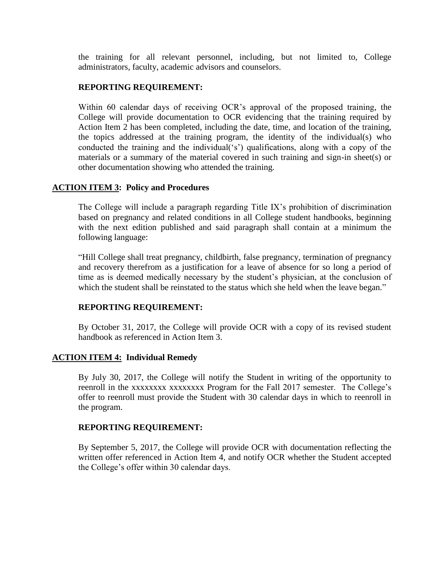the training for all relevant personnel, including, but not limited to, College administrators, faculty, academic advisors and counselors.

#### **REPORTING REQUIREMENT:**

Within 60 calendar days of receiving OCR's approval of the proposed training, the College will provide documentation to OCR evidencing that the training required by Action Item 2 has been completed, including the date, time, and location of the training, the topics addressed at the training program, the identity of the individual(s) who conducted the training and the individual('s') qualifications, along with a copy of the materials or a summary of the material covered in such training and sign-in sheet(s) or other documentation showing who attended the training.

## **ACTION ITEM 3: Policy and Procedures**

The College will include a paragraph regarding Title IX's prohibition of discrimination based on pregnancy and related conditions in all College student handbooks, beginning with the next edition published and said paragraph shall contain at a minimum the following language:

"Hill College shall treat pregnancy, childbirth, false pregnancy, termination of pregnancy and recovery therefrom as a justification for a leave of absence for so long a period of time as is deemed medically necessary by the student's physician, at the conclusion of which the student shall be reinstated to the status which she held when the leave began."

## **REPORTING REQUIREMENT:**

By October 31, 2017, the College will provide OCR with a copy of its revised student handbook as referenced in Action Item 3.

#### **ACTION ITEM 4: Individual Remedy**

 By July 30, 2017, the College will notify the Student in writing of the opportunity to reenroll in the xxxxxxxx xxxxxxxx Program for the Fall 2017 semester. The College's offer to reenroll must provide the Student with 30 calendar days in which to reenroll in the program.

#### **REPORTING REQUIREMENT:**

 By September 5, 2017, the College will provide OCR with documentation reflecting the written offer referenced in Action Item 4, and notify OCR whether the Student accepted the College's offer within 30 calendar days.